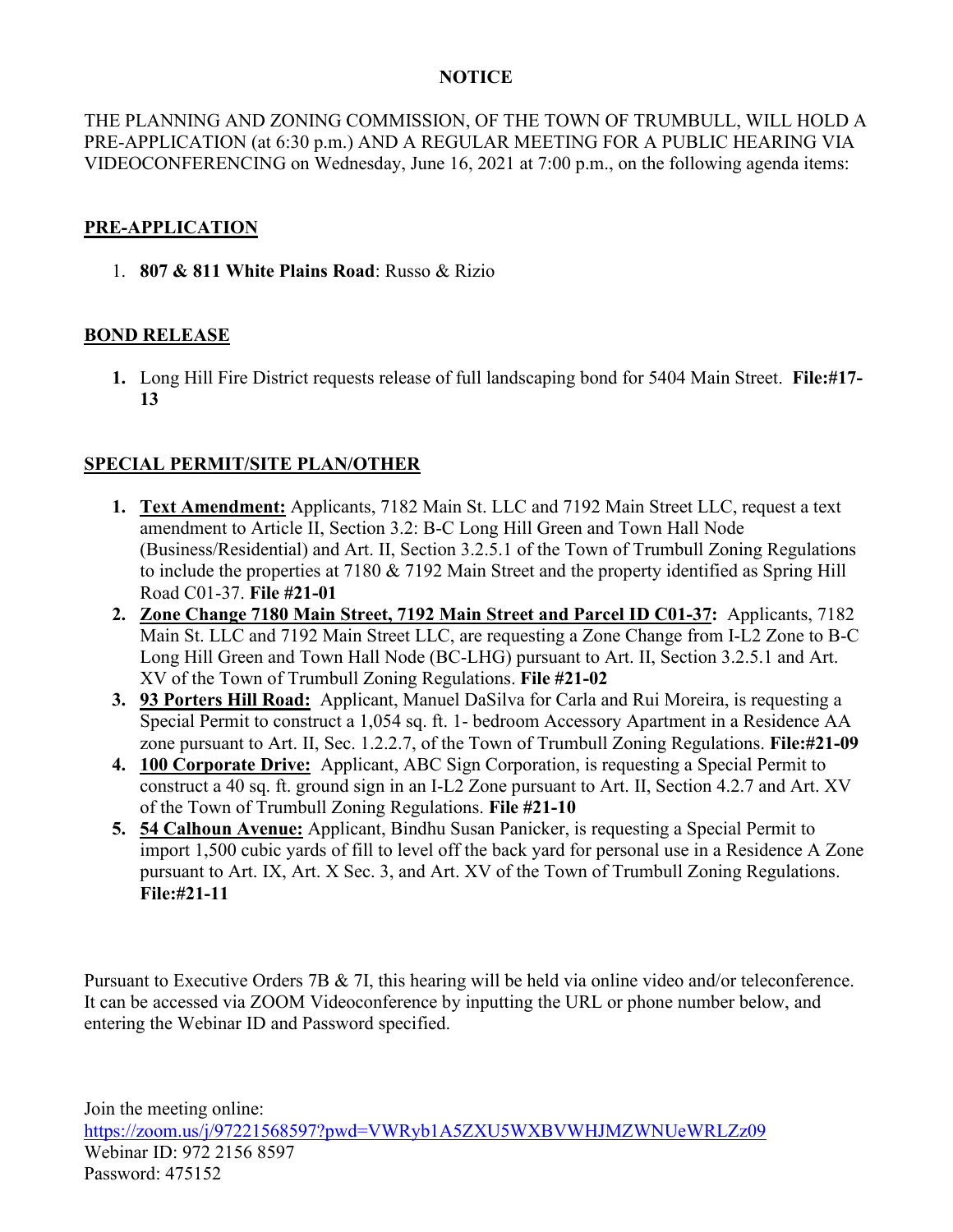## **NOTICE**

THE PLANNING AND ZONING COMMISSION, OF THE TOWN OF TRUMBULL, WILL HOLD A PRE-APPLICATION (at 6:30 p.m.) AND A REGULAR MEETING FOR A PUBLIC HEARING VIA VIDEOCONFERENCING on Wednesday, June 16, 2021 at 7:00 p.m., on the following agenda items:

## **PRE-APPLICATION**

1. **807 & 811 White Plains Road**: Russo & Rizio

## **BOND RELEASE**

**1.** Long Hill Fire District requests release of full landscaping bond for 5404 Main Street. **File:#17- 13**

## **SPECIAL PERMIT/SITE PLAN/OTHER**

- **1. Text Amendment:** Applicants, 7182 Main St. LLC and 7192 Main Street LLC, request a text amendment to Article II, Section 3.2: B-C Long Hill Green and Town Hall Node (Business/Residential) and Art. II, Section 3.2.5.1 of the Town of Trumbull Zoning Regulations to include the properties at 7180 & 7192 Main Street and the property identified as Spring Hill Road C01-37. **File #21-01**
- **2. Zone Change 7180 Main Street, 7192 Main Street and Parcel ID C01-37:** Applicants, 7182 Main St. LLC and 7192 Main Street LLC, are requesting a Zone Change from I-L2 Zone to B-C Long Hill Green and Town Hall Node (BC-LHG) pursuant to Art. II, Section 3.2.5.1 and Art. XV of the Town of Trumbull Zoning Regulations. **File #21-02**
- **3. 93 Porters Hill Road:** Applicant, Manuel DaSilva for Carla and Rui Moreira, is requesting a Special Permit to construct a 1,054 sq. ft. 1- bedroom Accessory Apartment in a Residence AA zone pursuant to Art. II, Sec. 1.2.2.7, of the Town of Trumbull Zoning Regulations. **File:#21-09**
- **4. 100 Corporate Drive:** Applicant, ABC Sign Corporation, is requesting a Special Permit to construct a 40 sq. ft. ground sign in an I-L2 Zone pursuant to Art. II, Section 4.2.7 and Art. XV of the Town of Trumbull Zoning Regulations. **File #21-10**
- **5. 54 Calhoun Avenue:** Applicant, Bindhu Susan Panicker, is requesting a Special Permit to import 1,500 cubic yards of fill to level off the back yard for personal use in a Residence A Zone pursuant to Art. IX, Art. X Sec. 3, and Art. XV of the Town of Trumbull Zoning Regulations. **File:#21-11**

Pursuant to Executive Orders 7B & 7I, this hearing will be held via online video and/or teleconference. It can be accessed via ZOOM Videoconference by inputting the URL or phone number below, and entering the Webinar ID and Password specified.